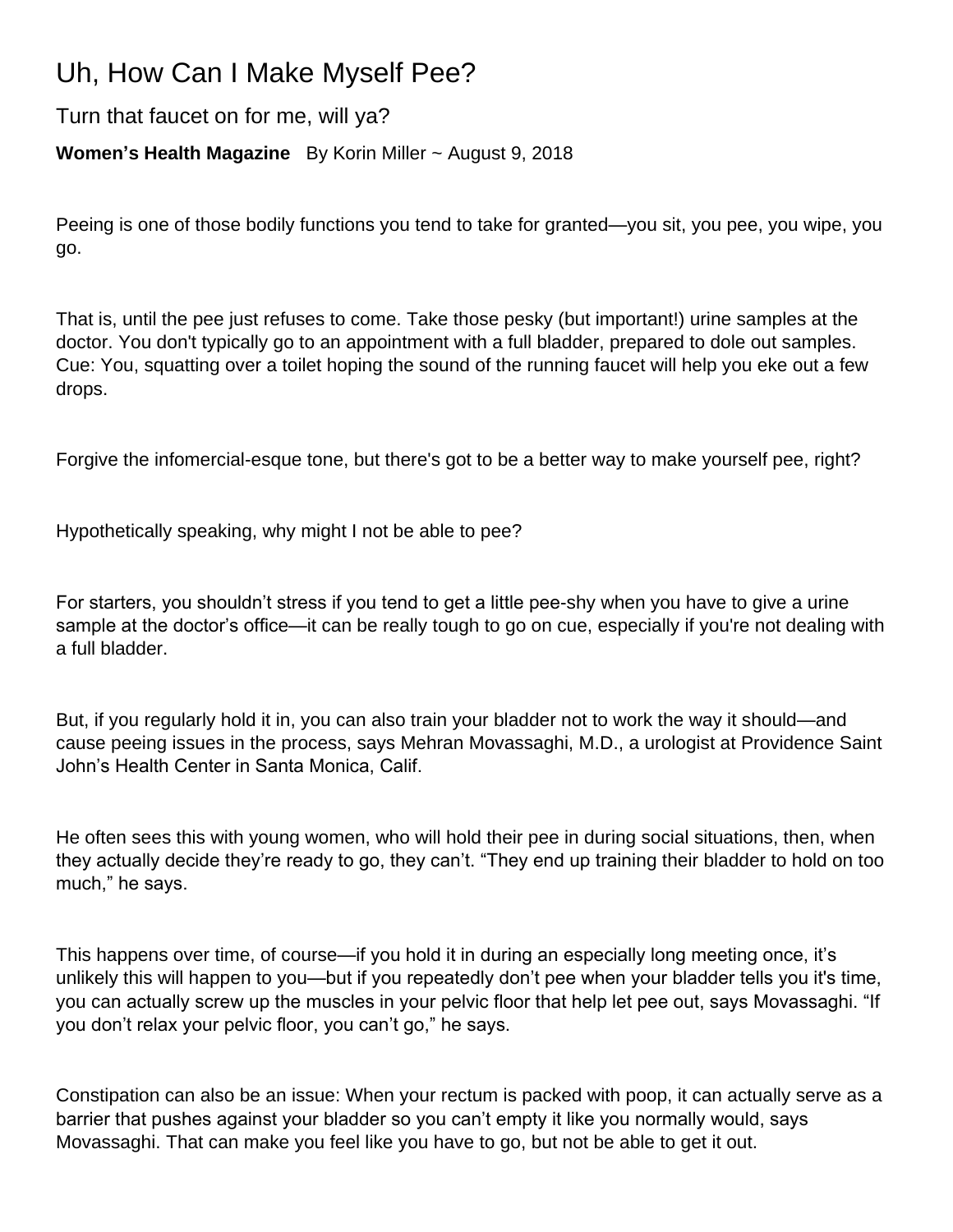## Uh, How Can I Make Myself Pee?

Turn that faucet on for me, will ya?

## **Women's Health Magazine** By Korin Miller ~ August 9, 2018

Peeing is one of those bodily functions you tend to take for granted—you sit, you pee, you wipe, you go.

That is, until the pee just refuses to come. Take those pesky (but important!) urine samples at the doctor. You don't typically go to an appointment with a full bladder, prepared to dole out samples. Cue: You, squatting over a toilet hoping the sound of the running faucet will help you eke out a few drops.

Forgive the infomercial-esque tone, but there's got to be a better way to make yourself pee, right?

Hypothetically speaking, why might I not be able to pee?

For starters, you shouldn't stress if you tend to get a little pee-shy when you have to give a urine sample at the doctor's office—it can be really tough to go on cue, especially if you're not dealing with a full bladder.

But, if you regularly hold it in, you can also train your bladder not to work the way it should—and cause peeing issues in the process, says Mehran Movassaghi, M.D., a urologist at Providence Saint John's Health Center in Santa Monica, Calif.

He often sees this with young women, who will hold their pee in during social situations, then, when they actually decide they're ready to go, they can't. "They end up training their bladder to hold on too much," he says.

This happens over time, of course—if you hold it in during an especially long meeting once, it's unlikely this will happen to you—but if you repeatedly don't pee when your bladder tells you it's time, you can actually screw up the muscles in your pelvic floor that help let pee out, says Movassaghi. "If you don't relax your pelvic floor, you can't go," he says.

Constipation can also be an issue: When your rectum is packed with poop, it can actually serve as a barrier that pushes against your bladder so you can't empty it like you normally would, says Movassaghi. That can make you feel like you have to go, but not be able to get it out.